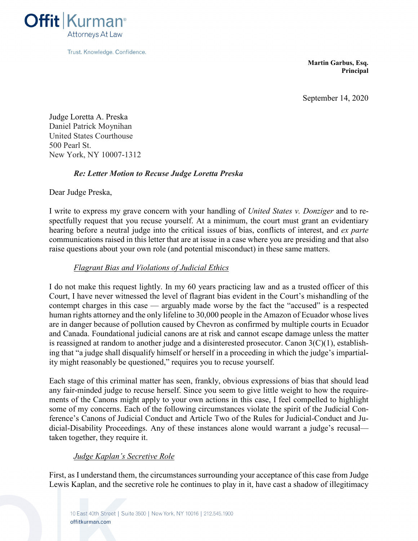

**Martin Garbus, Esq. Principal**

September 14, 2020

Judge Loretta A. Preska Daniel Patrick Moynihan United States Courthouse 500 Pearl St. New York, NY 10007-1312

# *Re: Letter Motion to Recuse Judge Loretta Preska*

Dear Judge Preska,

I write to express my grave concern with your handling of *United States v. Donziger* and to respectfully request that you recuse yourself. At a minimum, the court must grant an evidentiary hearing before a neutral judge into the critical issues of bias, conflicts of interest, and *ex parte* communications raised in this letter that are at issue in a case where you are presiding and that also raise questions about your own role (and potential misconduct) in these same matters.

## *Flagrant Bias and Violations of Judicial Ethics*

I do not make this request lightly. In my 60 years practicing law and as a trusted officer of this Court, I have never witnessed the level of flagrant bias evident in the Court's mishandling of the contempt charges in this case — arguably made worse by the fact the "accused" is a respected human rights attorney and the only lifeline to 30,000 people in the Amazon of Ecuador whose lives are in danger because of pollution caused by Chevron as confirmed by multiple courts in Ecuador and Canada. Foundational judicial canons are at risk and cannot escape damage unless the matter is reassigned at random to another judge and a disinterested prosecutor. Canon  $3(C)(1)$ , establishing that "a judge shall disqualify himself or herself in a proceeding in which the judge's impartiality might reasonably be questioned," requires you to recuse yourself.

Each stage of this criminal matter has seen, frankly, obvious expressions of bias that should lead any fair-minded judge to recuse herself. Since you seem to give little weight to how the requirements of the Canons might apply to your own actions in this case, I feel compelled to highlight some of my concerns. Each of the following circumstances violate the spirit of the Judicial Conference's Canons of Judicial Conduct and Article Two of the Rules for Judicial-Conduct and Judicial-Disability Proceedings. Any of these instances alone would warrant a judge's recusal taken together, they require it.

### *Judge Kaplan's Secretive Role*

First, as I understand them, the circumstances surrounding your acceptance of this case from Judge Lewis Kaplan, and the secretive role he continues to play in it, have cast a shadow of illegitimacy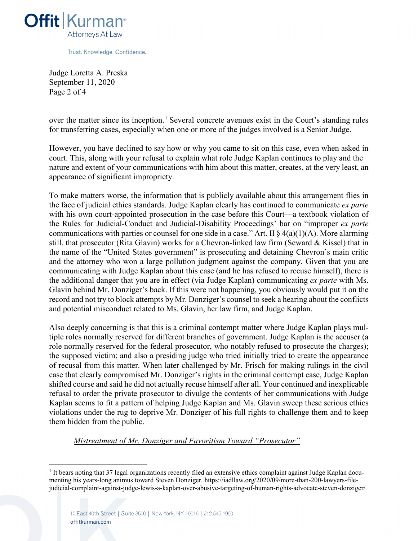

Judge Loretta A. Preska September 11, 2020 Page 2 of 4

over the matter since its inception.<sup>1</sup> Several concrete avenues exist in the Court's standing rules for transferring cases, especially when one or more of the judges involved is a Senior Judge.

However, you have declined to say how or why you came to sit on this case, even when asked in court. This, along with your refusal to explain what role Judge Kaplan continues to play and the nature and extent of your communications with him about this matter, creates, at the very least, an appearance of significant impropriety.

To make matters worse, the information that is publicly available about this arrangement flies in the face of judicial ethics standards. Judge Kaplan clearly has continued to communicate *ex parte* with his own court-appointed prosecution in the case before this Court—a textbook violation of the Rules for Judicial-Conduct and Judicial-Disability Proceedings' bar on "improper *ex parte* communications with parties or counsel for one side in a case." Art. II  $\S 4(a)(1)(A)$ . More alarming still, that prosecutor (Rita Glavin) works for a Chevron-linked law firm (Seward & Kissel) that in the name of the "United States government" is prosecuting and detaining Chevron's main critic and the attorney who won a large pollution judgment against the company. Given that you are communicating with Judge Kaplan about this case (and he has refused to recuse himself), there is the additional danger that you are in effect (via Judge Kaplan) communicating *ex parte* with Ms. Glavin behind Mr. Donziger's back. If this were not happening, you obviously would put it on the record and not try to block attempts by Mr. Donziger's counsel to seek a hearing about the conflicts and potential misconduct related to Ms. Glavin, her law firm, and Judge Kaplan.

Also deeply concerning is that this is a criminal contempt matter where Judge Kaplan plays multiple roles normally reserved for different branches of government. Judge Kaplan is the accuser (a role normally reserved for the federal prosecutor, who notably refused to prosecute the charges); the supposed victim; and also a presiding judge who tried initially tried to create the appearance of recusal from this matter. When later challenged by Mr. Frisch for making rulings in the civil case that clearly compromised Mr. Donziger's rights in the criminal contempt case, Judge Kaplan shifted course and said he did not actually recuse himself after all. Your continued and inexplicable refusal to order the private prosecutor to divulge the contents of her communications with Judge Kaplan seems to fit a pattern of helping Judge Kaplan and Ms. Glavin sweep these serious ethics violations under the rug to deprive Mr. Donziger of his full rights to challenge them and to keep them hidden from the public.

### *Mistreatment of Mr. Donziger and Favoritism Toward "Prosecutor"*

<sup>&</sup>lt;sup>1</sup> It bears noting that 37 legal organizations recently filed an extensive ethics complaint against Judge Kaplan documenting his years-long animus toward Steven Donziger. https://iadllaw.org/2020/09/more-than-200-lawyers-filejudicial-complaint-against-judge-lewis-a-kaplan-over-abusive-targeting-of-human-rights-advocate-steven-donziger/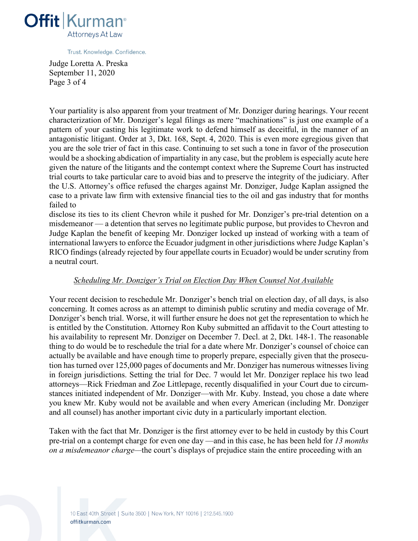

Judge Loretta A. Preska September 11, 2020 Page 3 of 4

Your partiality is also apparent from your treatment of Mr. Donziger during hearings. Your recent characterization of Mr. Donziger's legal filings as mere "machinations" is just one example of a pattern of your casting his legitimate work to defend himself as deceitful, in the manner of an antagonistic litigant. Order at 3, Dkt. 168, Sept. 4, 2020. This is even more egregious given that you are the sole trier of fact in this case. Continuing to set such a tone in favor of the prosecution would be a shocking abdication of impartiality in any case, but the problem is especially acute here given the nature of the litigants and the contempt context where the Supreme Court has instructed trial courts to take particular care to avoid bias and to preserve the integrity of the judiciary. After the U.S. Attorney's office refused the charges against Mr. Donziger, Judge Kaplan assigned the case to a private law firm with extensive financial ties to the oil and gas industry that for months failed to

disclose its ties to its client Chevron while it pushed for Mr. Donziger's pre-trial detention on a misdemeanor — a detention that serves no legitimate public purpose, but provides to Chevron and Judge Kaplan the benefit of keeping Mr. Donziger locked up instead of working with a team of international lawyers to enforce the Ecuador judgment in other jurisdictions where Judge Kaplan's RICO findings (already rejected by four appellate courts in Ecuador) would be under scrutiny from a neutral court.

### *Scheduling Mr. Donziger's Trial on Election Day When Counsel Not Available*

Your recent decision to reschedule Mr. Donziger's bench trial on election day, of all days, is also concerning. It comes across as an attempt to diminish public scrutiny and media coverage of Mr. Donziger's bench trial. Worse, it will further ensure he does not get the representation to which he is entitled by the Constitution. Attorney Ron Kuby submitted an affidavit to the Court attesting to his availability to represent Mr. Donziger on December 7. Decl. at 2, Dkt. 148-1. The reasonable thing to do would be to reschedule the trial for a date where Mr. Donziger's counsel of choice can actually be available and have enough time to properly prepare, especially given that the prosecution has turned over 125,000 pages of documents and Mr. Donziger has numerous witnesses living in foreign jurisdictions. Setting the trial for Dec. 7 would let Mr. Donziger replace his two lead attorneys—Rick Friedman and Zoe Littlepage, recently disqualified in your Court due to circumstances initiated independent of Mr. Donziger—with Mr. Kuby. Instead, you chose a date where you knew Mr. Kuby would not be available and when every American (including Mr. Donziger and all counsel) has another important civic duty in a particularly important election.

Taken with the fact that Mr. Donziger is the first attorney ever to be held in custody by this Court pre-trial on a contempt charge for even one day —and in this case, he has been held for *13 months on a misdemeanor charge—*the court's displays of prejudice stain the entire proceeding with an